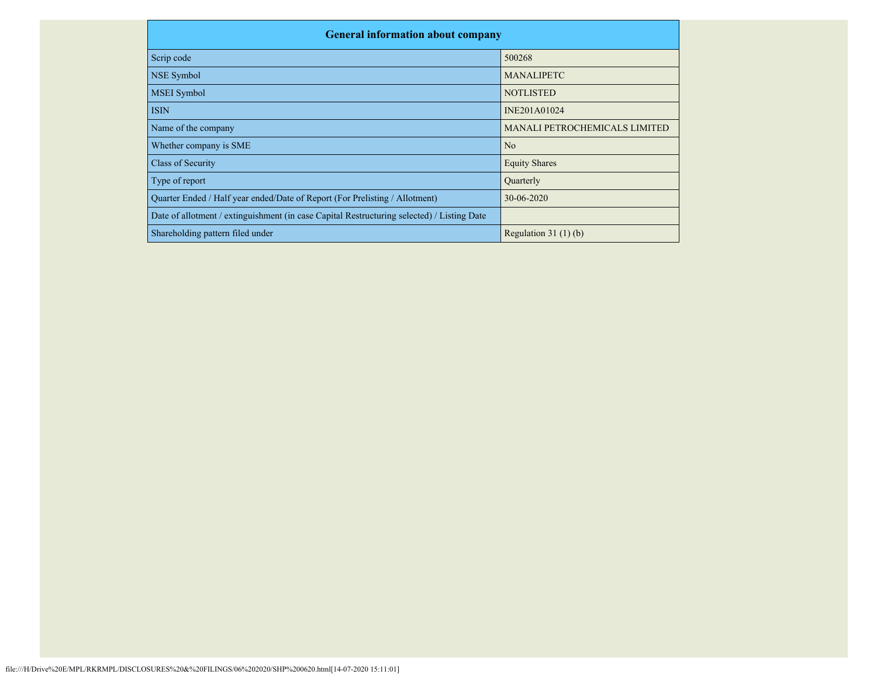| <b>General information about company</b>                                                   |                               |  |  |  |  |  |  |  |
|--------------------------------------------------------------------------------------------|-------------------------------|--|--|--|--|--|--|--|
| Scrip code                                                                                 | 500268                        |  |  |  |  |  |  |  |
| <b>NSE Symbol</b>                                                                          | <b>MANALIPETC</b>             |  |  |  |  |  |  |  |
| <b>MSEI</b> Symbol                                                                         | <b>NOTLISTED</b>              |  |  |  |  |  |  |  |
| <b>ISIN</b>                                                                                | INE201A01024                  |  |  |  |  |  |  |  |
| Name of the company                                                                        | MANALI PETROCHEMICALS LIMITED |  |  |  |  |  |  |  |
| Whether company is SME                                                                     | No                            |  |  |  |  |  |  |  |
| Class of Security                                                                          | <b>Equity Shares</b>          |  |  |  |  |  |  |  |
| Type of report                                                                             | Quarterly                     |  |  |  |  |  |  |  |
| Quarter Ended / Half year ended/Date of Report (For Prelisting / Allotment)                | 30-06-2020                    |  |  |  |  |  |  |  |
| Date of allotment / extinguishment (in case Capital Restructuring selected) / Listing Date |                               |  |  |  |  |  |  |  |
| Shareholding pattern filed under                                                           | Regulation $31(1)(b)$         |  |  |  |  |  |  |  |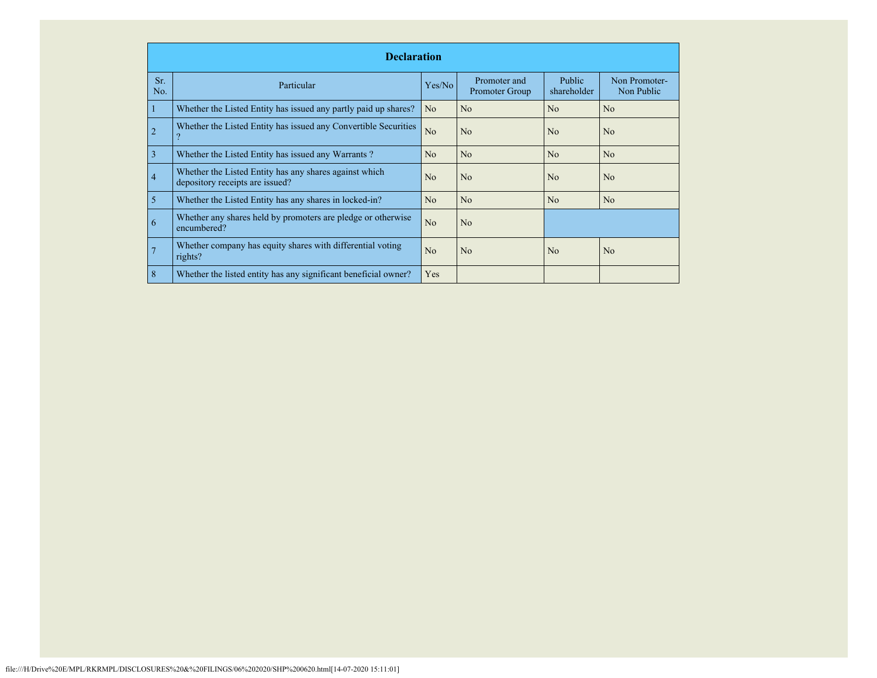|            | <b>Declaration</b>                                                                        |                |                                |                              |                             |  |  |  |  |  |
|------------|-------------------------------------------------------------------------------------------|----------------|--------------------------------|------------------------------|-----------------------------|--|--|--|--|--|
| Sr.<br>No. | Particular                                                                                | Yes/No         | Promoter and<br>Promoter Group | <b>Public</b><br>shareholder | Non Promoter-<br>Non Public |  |  |  |  |  |
|            | Whether the Listed Entity has issued any partly paid up shares?                           | N <sub>o</sub> | N <sub>o</sub>                 | No                           | N <sub>o</sub>              |  |  |  |  |  |
| 2          | Whether the Listed Entity has issued any Convertible Securities                           | No             | N <sub>o</sub>                 | No                           | N <sub>o</sub>              |  |  |  |  |  |
| 3          | Whether the Listed Entity has issued any Warrants?                                        | N <sub>o</sub> | N <sub>o</sub>                 | No                           | N <sub>o</sub>              |  |  |  |  |  |
| 4          | Whether the Listed Entity has any shares against which<br>depository receipts are issued? | N <sub>o</sub> | N <sub>o</sub>                 | No                           | N <sub>o</sub>              |  |  |  |  |  |
| 5          | Whether the Listed Entity has any shares in locked-in?                                    | No             | N <sub>o</sub>                 | No                           | N <sub>o</sub>              |  |  |  |  |  |
| 6          | Whether any shares held by promoters are pledge or otherwise<br>encumbered?               | No             | No                             |                              |                             |  |  |  |  |  |
|            | Whether company has equity shares with differential voting<br>rights?                     | N <sub>o</sub> | N <sub>o</sub>                 | No                           | N <sub>o</sub>              |  |  |  |  |  |
| 8          | Whether the listed entity has any significant beneficial owner?                           | Yes            |                                |                              |                             |  |  |  |  |  |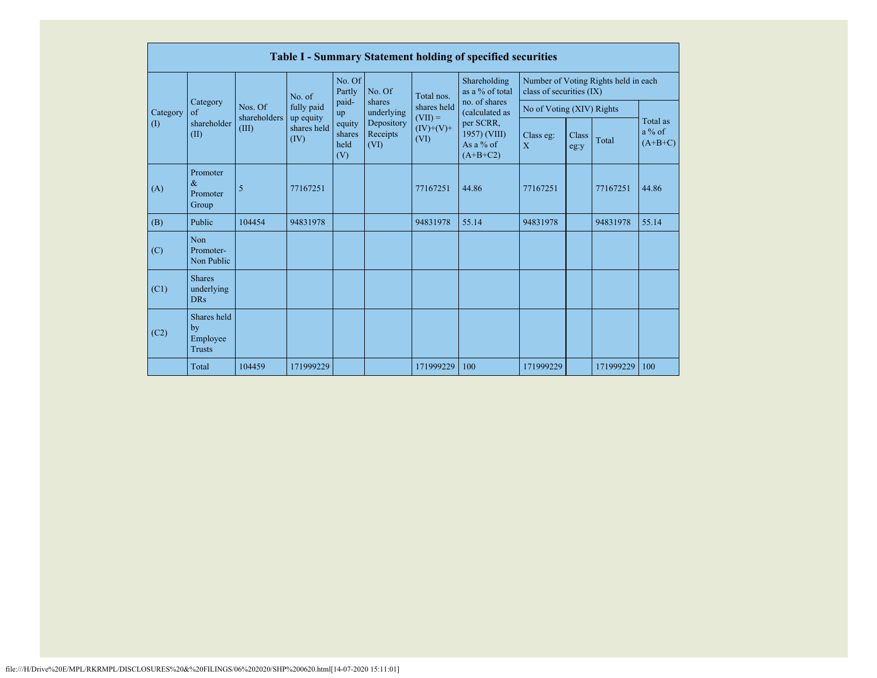|          | <b>Table I - Summary Statement holding of specified securities</b> |                         |                          |                                 |                                |                                                 |                                                        |                                                                  |               |           |                                   |  |  |
|----------|--------------------------------------------------------------------|-------------------------|--------------------------|---------------------------------|--------------------------------|-------------------------------------------------|--------------------------------------------------------|------------------------------------------------------------------|---------------|-----------|-----------------------------------|--|--|
|          |                                                                    |                         | No. of                   | No. Of<br>Partly                | No. Of                         | Total nos.                                      | Shareholding<br>as a % of total                        | Number of Voting Rights held in each<br>class of securities (IX) |               |           |                                   |  |  |
| Category | Category<br>of<br>shareholder<br>(II)                              | Nos. Of<br>shareholders | fully paid               | paid-<br>up                     | shares<br>underlying           | shares held<br>$(VII) =$<br>$(IV)+(V)+$<br>(VI) | no. of shares<br>(calculated as                        | No of Voting (XIV) Rights                                        |               |           |                                   |  |  |
| (1)      |                                                                    | (III)<br>(IV)           | up equity<br>shares held | equity<br>shares<br>held<br>(V) | Depository<br>Receipts<br>(VI) |                                                 | per SCRR,<br>1957) (VIII)<br>As a $%$ of<br>$(A+B+C2)$ | Class eg:<br>$\overline{X}$                                      | Class<br>eg:y | Total     | Total as<br>$a\%$ of<br>$(A+B+C)$ |  |  |
| (A)      | Promoter<br>$\&$<br>Promoter<br>Group                              | 5                       | 77167251                 |                                 |                                | 77167251                                        | 44.86                                                  | 77167251                                                         |               | 77167251  | 44.86                             |  |  |
| (B)      | Public                                                             | 104454                  | 94831978                 |                                 |                                | 94831978                                        | 55.14                                                  | 94831978                                                         |               | 94831978  | 55.14                             |  |  |
| (C)      | Non<br>Promoter-<br>Non Public                                     |                         |                          |                                 |                                |                                                 |                                                        |                                                                  |               |           |                                   |  |  |
| (C1)     | <b>Shares</b><br>underlying<br><b>DRs</b>                          |                         |                          |                                 |                                |                                                 |                                                        |                                                                  |               |           |                                   |  |  |
| (C2)     | Shares held<br>by<br>Employee<br><b>Trusts</b>                     |                         |                          |                                 |                                |                                                 |                                                        |                                                                  |               |           |                                   |  |  |
|          | Total                                                              | 104459                  | 171999229                |                                 |                                | 171999229                                       | 100                                                    | 171999229                                                        |               | 171999229 | 100                               |  |  |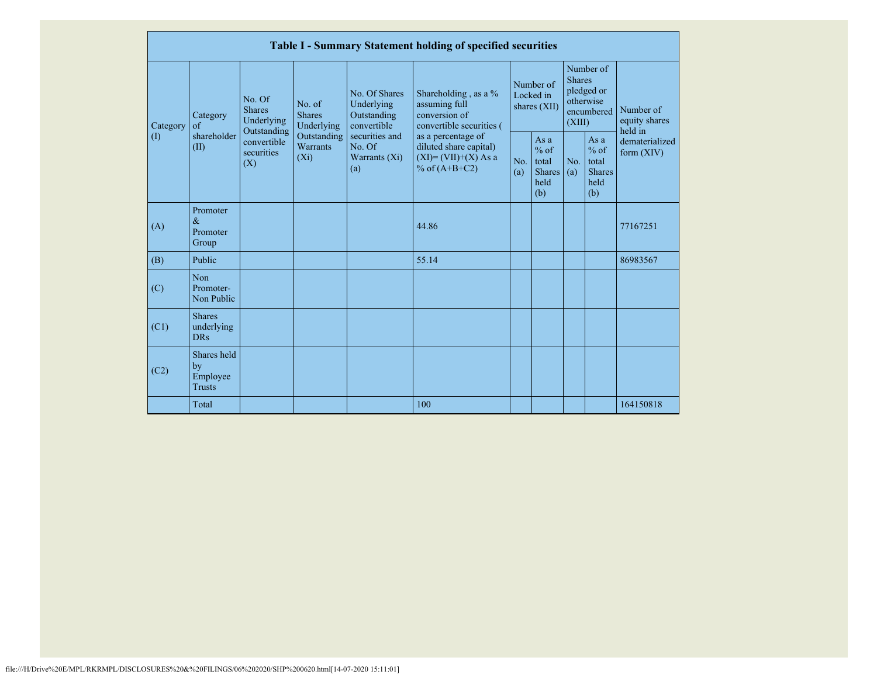|           |                                                |                                                                                                                                |                         |                                                                                                               | Table I - Summary Statement holding of specified securities                                                                                                                      |                                        |                                                        |                                                                               |                                                           |                                       |
|-----------|------------------------------------------------|--------------------------------------------------------------------------------------------------------------------------------|-------------------------|---------------------------------------------------------------------------------------------------------------|----------------------------------------------------------------------------------------------------------------------------------------------------------------------------------|----------------------------------------|--------------------------------------------------------|-------------------------------------------------------------------------------|-----------------------------------------------------------|---------------------------------------|
| Category  | Category<br>$\sigma$<br>shareholder<br>(II)    | No. Of<br>No. of<br><b>Shares</b><br><b>Shares</b><br>Underlying<br>Outstanding<br>convertible<br>securities<br>$(X_i)$<br>(X) | Underlying              | No. Of Shares<br>Underlying<br>Outstanding<br>convertible<br>securities and<br>No. Of<br>Warrants (Xi)<br>(a) | Shareholding, as a %<br>assuming full<br>conversion of<br>convertible securities (<br>as a percentage of<br>diluted share capital)<br>$(XI) = (VII)+(X) As a$<br>% of $(A+B+C2)$ | Number of<br>Locked in<br>shares (XII) |                                                        | Number of<br><b>Shares</b><br>pledged or<br>otherwise<br>encumbered<br>(XIII) |                                                           | Number of<br>equity shares<br>held in |
| $\rm (I)$ |                                                |                                                                                                                                | Outstanding<br>Warrants |                                                                                                               |                                                                                                                                                                                  | No.<br>(a)                             | Asa<br>$%$ of<br>total<br><b>Shares</b><br>held<br>(b) | No.<br>(a)                                                                    | As $a$<br>$%$ of<br>total<br><b>Shares</b><br>held<br>(b) | dematerialized<br>form $(XIV)$        |
| (A)       | Promoter<br>$\&$<br>Promoter<br>Group          |                                                                                                                                |                         |                                                                                                               | 44.86                                                                                                                                                                            |                                        |                                                        |                                                                               |                                                           | 77167251                              |
| (B)       | Public                                         |                                                                                                                                |                         |                                                                                                               | 55.14                                                                                                                                                                            |                                        |                                                        |                                                                               |                                                           | 86983567                              |
| (C)       | Non<br>Promoter-<br>Non Public                 |                                                                                                                                |                         |                                                                                                               |                                                                                                                                                                                  |                                        |                                                        |                                                                               |                                                           |                                       |
| (C1)      | <b>Shares</b><br>underlying<br><b>DRs</b>      |                                                                                                                                |                         |                                                                                                               |                                                                                                                                                                                  |                                        |                                                        |                                                                               |                                                           |                                       |
| (C2)      | Shares held<br>by<br>Employee<br><b>Trusts</b> |                                                                                                                                |                         |                                                                                                               |                                                                                                                                                                                  |                                        |                                                        |                                                                               |                                                           |                                       |
|           | Total                                          |                                                                                                                                |                         |                                                                                                               | 100                                                                                                                                                                              |                                        |                                                        |                                                                               |                                                           | 164150818                             |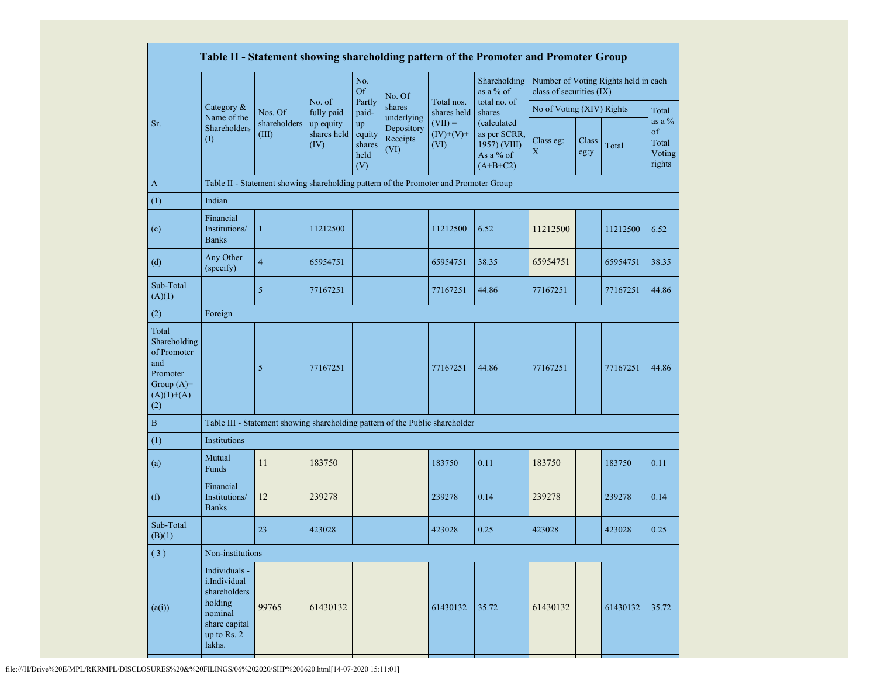|                                                                                                |                                                                                                               |                                                                                      |                                  |                                       |                                |                                  | Table II - Statement showing shareholding pattern of the Promoter and Promoter Group |                           |               |                                      |                                             |
|------------------------------------------------------------------------------------------------|---------------------------------------------------------------------------------------------------------------|--------------------------------------------------------------------------------------|----------------------------------|---------------------------------------|--------------------------------|----------------------------------|--------------------------------------------------------------------------------------|---------------------------|---------------|--------------------------------------|---------------------------------------------|
|                                                                                                |                                                                                                               |                                                                                      |                                  | No.<br><b>Of</b>                      | No. Of                         |                                  | Shareholding<br>as a % of                                                            | class of securities (IX)  |               | Number of Voting Rights held in each |                                             |
|                                                                                                | Category &                                                                                                    | Nos. Of                                                                              | No. of<br>fully paid             | Partly<br>paid-                       | shares<br>underlying           | Total nos.<br>shares held        | total no. of<br>shares                                                               | No of Voting (XIV) Rights |               |                                      | Total                                       |
| Sr.                                                                                            | Name of the<br>Shareholders<br>(1)                                                                            | shareholders<br>(III)                                                                | up equity<br>shares held<br>(IV) | up<br>equity<br>shares<br>held<br>(V) | Depository<br>Receipts<br>(VI) | $(VII) =$<br>$(IV)+(V)+$<br>(VI) | (calculated<br>as per SCRR,<br>1957) (VIII)<br>As a % of<br>$(A+B+C2)$               | Class eg:<br>X            | Class<br>eg:y | Total                                | as a $%$<br>of<br>Total<br>Voting<br>rights |
| $\mathbf{A}$                                                                                   |                                                                                                               | Table II - Statement showing shareholding pattern of the Promoter and Promoter Group |                                  |                                       |                                |                                  |                                                                                      |                           |               |                                      |                                             |
| (1)                                                                                            | Indian                                                                                                        |                                                                                      |                                  |                                       |                                |                                  |                                                                                      |                           |               |                                      |                                             |
| (c)                                                                                            | Financial<br>Institutions/<br><b>Banks</b>                                                                    | $\mathbf{1}$                                                                         | 11212500                         |                                       |                                | 11212500                         | 6.52                                                                                 | 11212500                  |               | 11212500                             | 6.52                                        |
| (d)                                                                                            | Any Other<br>(specify)                                                                                        | $\overline{4}$                                                                       | 65954751                         |                                       |                                | 65954751                         | 38.35                                                                                | 65954751                  |               | 65954751                             | 38.35                                       |
| Sub-Total<br>(A)(1)                                                                            |                                                                                                               | 5                                                                                    | 77167251                         |                                       |                                | 77167251                         | 44.86                                                                                | 77167251                  |               | 77167251                             | 44.86                                       |
| (2)                                                                                            | Foreign                                                                                                       |                                                                                      |                                  |                                       |                                |                                  |                                                                                      |                           |               |                                      |                                             |
| Total<br>Shareholding<br>of Promoter<br>and<br>Promoter<br>Group $(A)=$<br>$(A)(1)+(A)$<br>(2) |                                                                                                               | 5                                                                                    | 77167251                         |                                       |                                | 77167251                         | 44.86                                                                                | 77167251                  |               | 77167251                             | 44.86                                       |
| $\bf{B}$                                                                                       |                                                                                                               | Table III - Statement showing shareholding pattern of the Public shareholder         |                                  |                                       |                                |                                  |                                                                                      |                           |               |                                      |                                             |
| (1)                                                                                            | Institutions                                                                                                  |                                                                                      |                                  |                                       |                                |                                  |                                                                                      |                           |               |                                      |                                             |
| (a)                                                                                            | Mutual<br>Funds                                                                                               | 11                                                                                   | 183750                           |                                       |                                | 183750                           | 0.11                                                                                 | 183750                    |               | 183750                               | 0.11                                        |
| (f)                                                                                            | Financial<br>Institutions/<br><b>Banks</b>                                                                    | 12                                                                                   | 239278                           |                                       |                                | 239278                           | 0.14                                                                                 | 239278                    |               | 239278                               | 0.14                                        |
| Sub-Total<br>(B)(1)                                                                            |                                                                                                               | 23                                                                                   | 423028                           |                                       |                                | 423028                           | 0.25                                                                                 | 423028                    |               | 423028                               | 0.25                                        |
| (3)                                                                                            | Non-institutions                                                                                              |                                                                                      |                                  |                                       |                                |                                  |                                                                                      |                           |               |                                      |                                             |
| (a(i))                                                                                         | Individuals -<br>i.Individual<br>shareholders<br>holding<br>nominal<br>share capital<br>up to Rs. 2<br>lakhs. | 99765                                                                                | 61430132                         |                                       |                                | 61430132                         | 35.72                                                                                | 61430132                  |               | 61430132                             | 35.72                                       |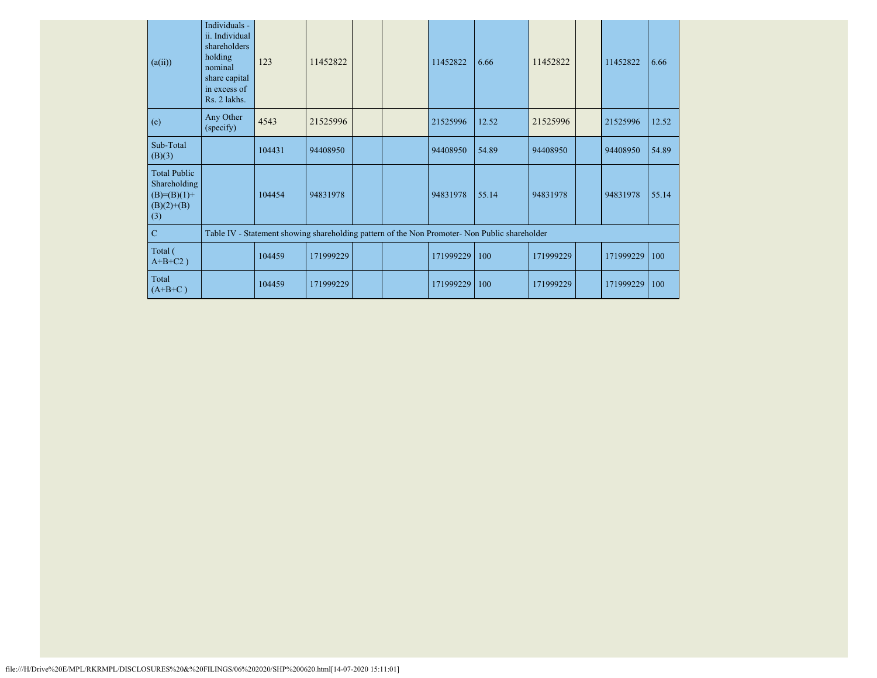| (a(ii))                                                                     | Individuals -<br>ii. Individual<br>shareholders<br>holding<br>nominal<br>share capital<br>in excess of<br>Rs. 2 lakhs. | 123    | 11452822                                                                                      | 11452822  | 6.66  | 11452822  | 11452822  | 6.66  |
|-----------------------------------------------------------------------------|------------------------------------------------------------------------------------------------------------------------|--------|-----------------------------------------------------------------------------------------------|-----------|-------|-----------|-----------|-------|
| (e)                                                                         | Any Other<br>(specify)                                                                                                 | 4543   | 21525996                                                                                      | 21525996  | 12.52 | 21525996  | 21525996  | 12.52 |
| Sub-Total<br>(B)(3)                                                         |                                                                                                                        | 104431 | 94408950                                                                                      | 94408950  | 54.89 | 94408950  | 94408950  | 54.89 |
| <b>Total Public</b><br>Shareholding<br>$(B)=(B)(1)+$<br>$(B)(2)+(B)$<br>(3) |                                                                                                                        | 104454 | 94831978                                                                                      | 94831978  | 55.14 | 94831978  | 94831978  | 55.14 |
| $\mathbf C$                                                                 |                                                                                                                        |        | Table IV - Statement showing shareholding pattern of the Non Promoter- Non Public shareholder |           |       |           |           |       |
| Total (<br>$A+B+C2$ )                                                       |                                                                                                                        | 104459 | 171999229                                                                                     | 171999229 | 100   | 171999229 | 171999229 | 100   |
| Total<br>$(A+B+C)$                                                          |                                                                                                                        | 104459 | 171999229                                                                                     | 171999229 | 100   | 171999229 | 171999229 | 100   |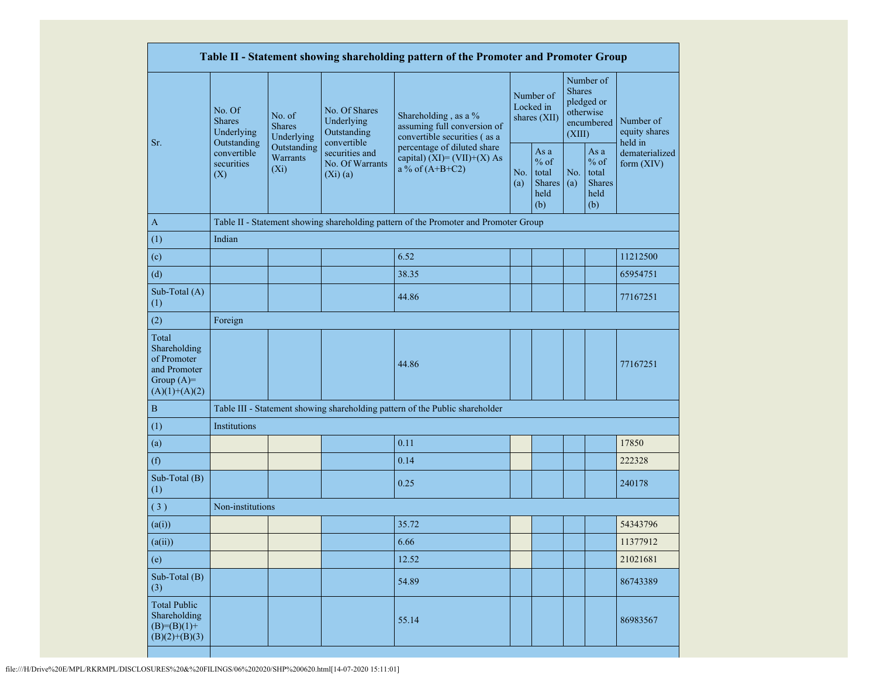|                                                                                         | Table II - Statement showing shareholding pattern of the Promoter and Promoter Group |                                    |                                                                |                                                                                      |                                        |                                                         |                                                                               |                                                         |                                       |  |  |  |
|-----------------------------------------------------------------------------------------|--------------------------------------------------------------------------------------|------------------------------------|----------------------------------------------------------------|--------------------------------------------------------------------------------------|----------------------------------------|---------------------------------------------------------|-------------------------------------------------------------------------------|---------------------------------------------------------|---------------------------------------|--|--|--|
| Sr.                                                                                     | No. Of<br>No. of<br><b>Shares</b><br><b>Shares</b><br>Underlying                     | Underlying                         | No. Of Shares<br>Underlying<br>Outstanding                     | Shareholding, as a %<br>assuming full conversion of<br>convertible securities (as a  | Number of<br>Locked in<br>shares (XII) |                                                         | Number of<br><b>Shares</b><br>pledged or<br>otherwise<br>encumbered<br>(XIII) |                                                         | Number of<br>equity shares<br>held in |  |  |  |
|                                                                                         | Outstanding<br>convertible<br>securities<br>(X)                                      | Outstanding<br>Warrants<br>$(X_i)$ | convertible<br>securities and<br>No. Of Warrants<br>$(Xi)$ (a) | percentage of diluted share<br>capital) $(XI) = (VII)+(X) As$<br>a % of $(A+B+C2)$   |                                        | As a<br>$%$ of<br>total<br><b>Shares</b><br>held<br>(b) | No.<br>(a)                                                                    | As a<br>$%$ of<br>total<br><b>Shares</b><br>held<br>(b) | dematerialized<br>form (XIV)          |  |  |  |
| $\mathbf{A}$                                                                            |                                                                                      |                                    |                                                                | Table II - Statement showing shareholding pattern of the Promoter and Promoter Group |                                        |                                                         |                                                                               |                                                         |                                       |  |  |  |
| (1)                                                                                     | Indian                                                                               |                                    |                                                                |                                                                                      |                                        |                                                         |                                                                               |                                                         |                                       |  |  |  |
| (c)                                                                                     |                                                                                      |                                    |                                                                | 6.52                                                                                 |                                        |                                                         |                                                                               |                                                         | 11212500                              |  |  |  |
| (d)                                                                                     |                                                                                      |                                    |                                                                | 38.35                                                                                |                                        |                                                         |                                                                               |                                                         | 65954751                              |  |  |  |
| Sub-Total (A)<br>(1)                                                                    |                                                                                      |                                    |                                                                | 44.86                                                                                |                                        |                                                         |                                                                               |                                                         | 77167251                              |  |  |  |
| (2)                                                                                     | Foreign                                                                              |                                    |                                                                |                                                                                      |                                        |                                                         |                                                                               |                                                         |                                       |  |  |  |
| Total<br>Shareholding<br>of Promoter<br>and Promoter<br>Group $(A)=$<br>$(A)(1)+(A)(2)$ |                                                                                      |                                    |                                                                | 44.86                                                                                |                                        |                                                         |                                                                               |                                                         | 77167251                              |  |  |  |
| $\, {\bf B}$                                                                            |                                                                                      |                                    |                                                                | Table III - Statement showing shareholding pattern of the Public shareholder         |                                        |                                                         |                                                                               |                                                         |                                       |  |  |  |
| (1)                                                                                     | Institutions                                                                         |                                    |                                                                |                                                                                      |                                        |                                                         |                                                                               |                                                         |                                       |  |  |  |
| (a)                                                                                     |                                                                                      |                                    |                                                                | 0.11                                                                                 |                                        |                                                         |                                                                               |                                                         | 17850                                 |  |  |  |
| (f)                                                                                     |                                                                                      |                                    |                                                                | 0.14                                                                                 |                                        |                                                         |                                                                               |                                                         | 222328                                |  |  |  |
| Sub-Total (B)<br>(1)                                                                    |                                                                                      |                                    |                                                                | 0.25                                                                                 |                                        |                                                         |                                                                               |                                                         | 240178                                |  |  |  |
| (3)                                                                                     | Non-institutions                                                                     |                                    |                                                                |                                                                                      |                                        |                                                         |                                                                               |                                                         |                                       |  |  |  |
| (a(i))                                                                                  |                                                                                      |                                    |                                                                | 35.72                                                                                |                                        |                                                         |                                                                               |                                                         | 54343796                              |  |  |  |
| (a(ii))                                                                                 |                                                                                      |                                    |                                                                | 6.66                                                                                 |                                        |                                                         |                                                                               |                                                         | 11377912                              |  |  |  |
| (e)                                                                                     |                                                                                      |                                    |                                                                | 12.52                                                                                |                                        |                                                         |                                                                               |                                                         | 21021681                              |  |  |  |
| Sub-Total $(B)$<br>(3)                                                                  |                                                                                      |                                    |                                                                | 54.89                                                                                |                                        |                                                         |                                                                               |                                                         | 86743389                              |  |  |  |
| <b>Total Public</b><br>Shareholding<br>$(B)=(B)(1)+$<br>$(B)(2)+(B)(3)$                 |                                                                                      |                                    |                                                                | 55.14                                                                                |                                        |                                                         |                                                                               |                                                         | 86983567                              |  |  |  |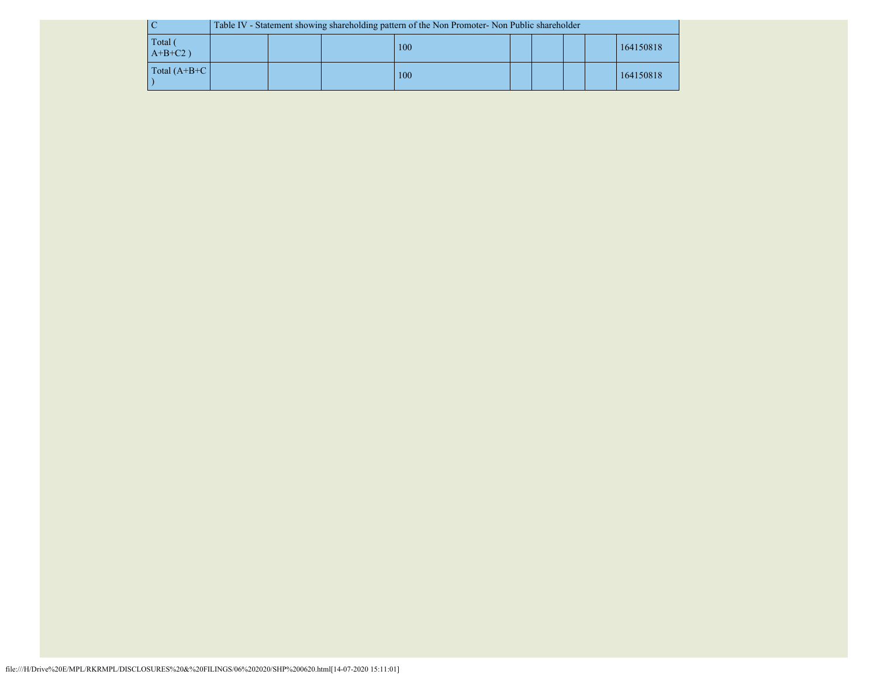|                       | Table IV - Statement showing shareholding pattern of the Non Promoter- Non Public shareholder |  |  |     |  |  |  |  |           |
|-----------------------|-----------------------------------------------------------------------------------------------|--|--|-----|--|--|--|--|-----------|
| Total (<br>$A+B+C2$ ) |                                                                                               |  |  | 100 |  |  |  |  | 164150818 |
| Total $(A+B+C)$       |                                                                                               |  |  | 100 |  |  |  |  | 164150818 |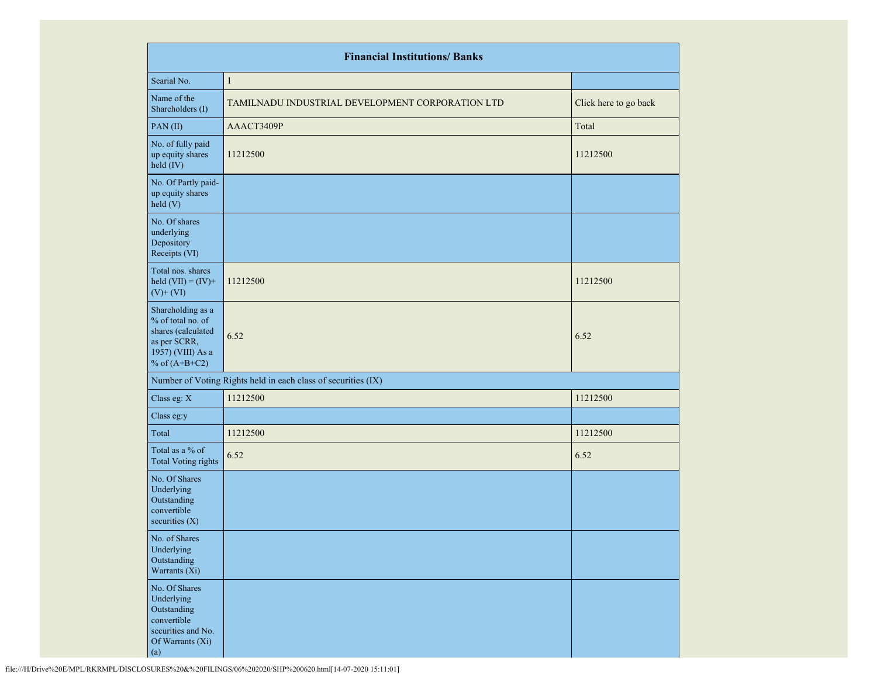|                                                                                                                      | <b>Financial Institutions/ Banks</b>                          |                       |
|----------------------------------------------------------------------------------------------------------------------|---------------------------------------------------------------|-----------------------|
| Searial No.                                                                                                          | $\mathbf{1}$                                                  |                       |
| Name of the<br>Shareholders (I)                                                                                      | TAMILNADU INDUSTRIAL DEVELOPMENT CORPORATION LTD              | Click here to go back |
| PAN(II)                                                                                                              | AAACT3409P                                                    | Total                 |
| No. of fully paid<br>up equity shares<br>held (IV)                                                                   | 11212500                                                      | 11212500              |
| No. Of Partly paid-<br>up equity shares<br>held(V)                                                                   |                                                               |                       |
| No. Of shares<br>underlying<br>Depository<br>Receipts (VI)                                                           |                                                               |                       |
| Total nos. shares<br>held $(VII) = (IV) +$<br>$(V)$ + $(VI)$                                                         | 11212500                                                      | 11212500              |
| Shareholding as a<br>% of total no. of<br>shares (calculated<br>as per SCRR,<br>1957) (VIII) As a<br>% of $(A+B+C2)$ | 6.52                                                          | 6.52                  |
|                                                                                                                      | Number of Voting Rights held in each class of securities (IX) |                       |
| Class eg: X                                                                                                          | 11212500                                                      | 11212500              |
| Class eg:y                                                                                                           |                                                               |                       |
| Total                                                                                                                | 11212500                                                      | 11212500              |
| Total as a % of<br><b>Total Voting rights</b>                                                                        | 6.52                                                          | 6.52                  |
| No. Of Shares<br>Underlying<br>Outstanding<br>convertible<br>securities $(X)$                                        |                                                               |                       |
| No. of Shares<br>Underlying<br>Outstanding<br>Warrants (Xi)                                                          |                                                               |                       |
| No. Of Shares<br>Underlying<br>Outstanding<br>convertible<br>securities and No.<br>Of Warrants (Xi)<br>(a)           |                                                               |                       |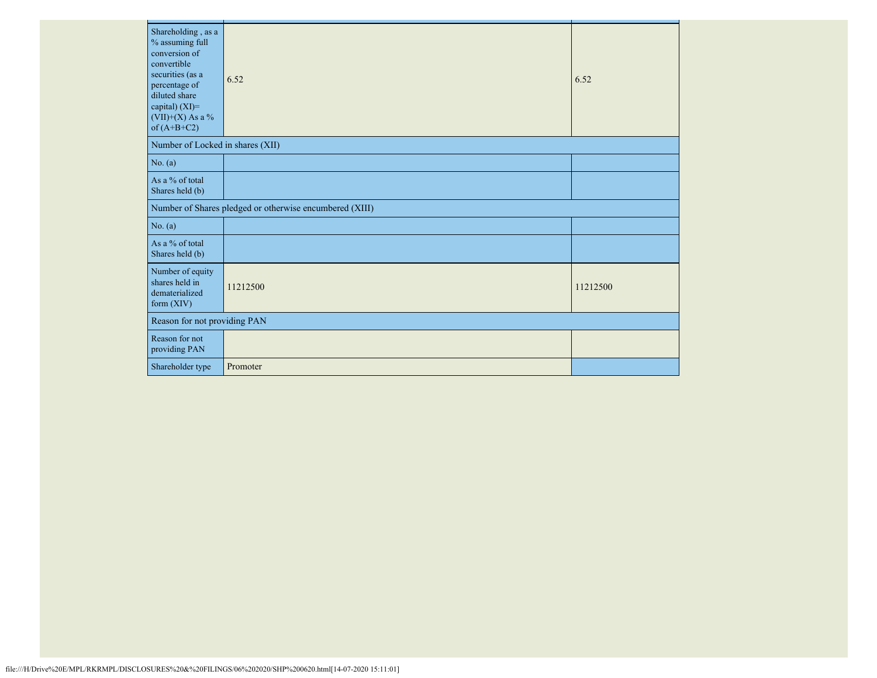| Shareholding, as a<br>% assuming full<br>conversion of<br>convertible<br>securities (as a<br>percentage of<br>diluted share<br>capital) (XI)=<br>$(VII)+(X)$ As a %<br>of $(A+B+C2)$ | 6.52                                                    | 6.52     |
|--------------------------------------------------------------------------------------------------------------------------------------------------------------------------------------|---------------------------------------------------------|----------|
| Number of Locked in shares (XII)                                                                                                                                                     |                                                         |          |
| No. (a)                                                                                                                                                                              |                                                         |          |
| As a % of total<br>Shares held (b)                                                                                                                                                   |                                                         |          |
|                                                                                                                                                                                      | Number of Shares pledged or otherwise encumbered (XIII) |          |
| No. (a)                                                                                                                                                                              |                                                         |          |
| As a % of total<br>Shares held (b)                                                                                                                                                   |                                                         |          |
| Number of equity<br>shares held in<br>dematerialized<br>form $(XIV)$                                                                                                                 | 11212500                                                | 11212500 |
| Reason for not providing PAN                                                                                                                                                         |                                                         |          |
| Reason for not<br>providing PAN                                                                                                                                                      |                                                         |          |
| Shareholder type                                                                                                                                                                     | Promoter                                                |          |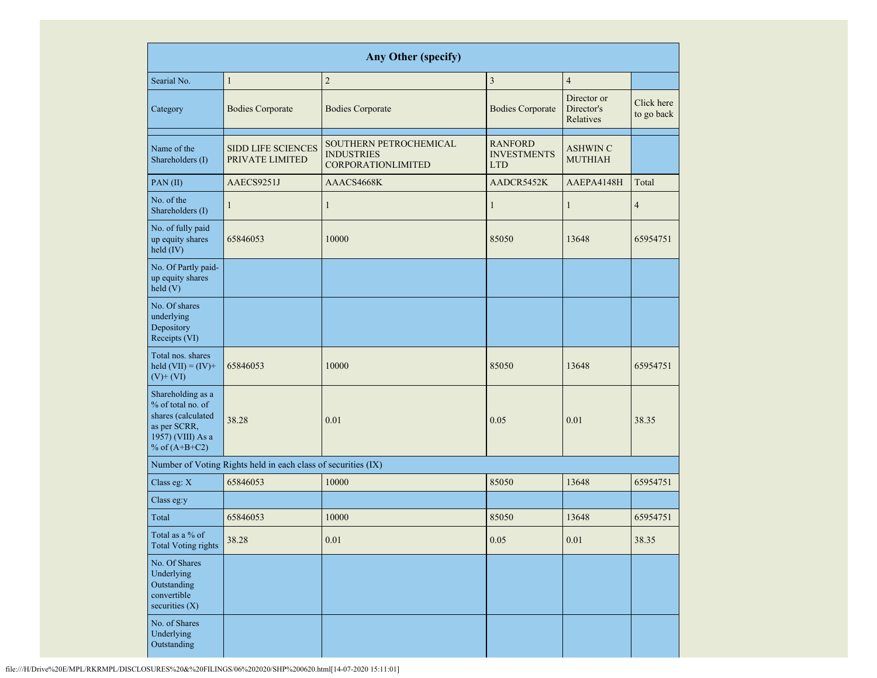|                                                                                                                      |                                                               | <b>Any Other (specify)</b>                                               |                                                    |                                        |                          |
|----------------------------------------------------------------------------------------------------------------------|---------------------------------------------------------------|--------------------------------------------------------------------------|----------------------------------------------------|----------------------------------------|--------------------------|
| Searial No.                                                                                                          | $\mathbf{1}$                                                  | $\sqrt{2}$                                                               | $\overline{3}$                                     | $\overline{4}$                         |                          |
| Category                                                                                                             | <b>Bodies Corporate</b>                                       | <b>Bodies Corporate</b>                                                  | <b>Bodies Corporate</b>                            | Director or<br>Director's<br>Relatives | Click here<br>to go back |
| Name of the<br>Shareholders (I)                                                                                      | <b>SIDD LIFE SCIENCES</b><br>PRIVATE LIMITED                  | SOUTHERN PETROCHEMICAL<br><b>INDUSTRIES</b><br><b>CORPORATIONLIMITED</b> | <b>RANFORD</b><br><b>INVESTMENTS</b><br><b>LTD</b> | <b>ASHWIN C</b><br><b>MUTHIAH</b>      |                          |
| PAN(II)                                                                                                              | AAECS9251J                                                    | AAACS4668K                                                               | AADCR5452K                                         | AAEPA4148H                             | Total                    |
| No. of the<br>Shareholders (I)                                                                                       | $\mathbf{1}$                                                  | $\mathbf{1}$                                                             | $\mathbf{1}$                                       | $\mathbf{1}$                           | $\overline{4}$           |
| No. of fully paid<br>up equity shares<br>held (IV)                                                                   | 65846053                                                      | 10000                                                                    | 85050                                              | 13648                                  | 65954751                 |
| No. Of Partly paid-<br>up equity shares<br>held(V)                                                                   |                                                               |                                                                          |                                                    |                                        |                          |
| No. Of shares<br>underlying<br>Depository<br>Receipts (VI)                                                           |                                                               |                                                                          |                                                    |                                        |                          |
| Total nos. shares<br>held $(VII) = (IV) +$<br>$(V)$ + $(VI)$                                                         | 65846053                                                      | 10000                                                                    | 85050                                              | 13648                                  | 65954751                 |
| Shareholding as a<br>% of total no. of<br>shares (calculated<br>as per SCRR,<br>1957) (VIII) As a<br>% of $(A+B+C2)$ | 38.28                                                         | 0.01                                                                     | 0.05                                               | 0.01                                   | 38.35                    |
|                                                                                                                      | Number of Voting Rights held in each class of securities (IX) |                                                                          |                                                    |                                        |                          |
| Class eg: X                                                                                                          | 65846053                                                      | 10000                                                                    | 85050                                              | 13648                                  | 65954751                 |
| Class eg:y                                                                                                           |                                                               |                                                                          |                                                    |                                        |                          |
| Total                                                                                                                | 65846053                                                      | 10000                                                                    | 85050                                              | 13648                                  | 65954751                 |
| Total as a % of<br><b>Total Voting rights</b>                                                                        | 38.28                                                         | 0.01                                                                     | 0.05                                               | 0.01                                   | 38.35                    |
| No. Of Shares<br>Underlying<br>Outstanding<br>convertible<br>securities (X)                                          |                                                               |                                                                          |                                                    |                                        |                          |
| No. of Shares<br>Underlying<br>Outstanding                                                                           |                                                               |                                                                          |                                                    |                                        |                          |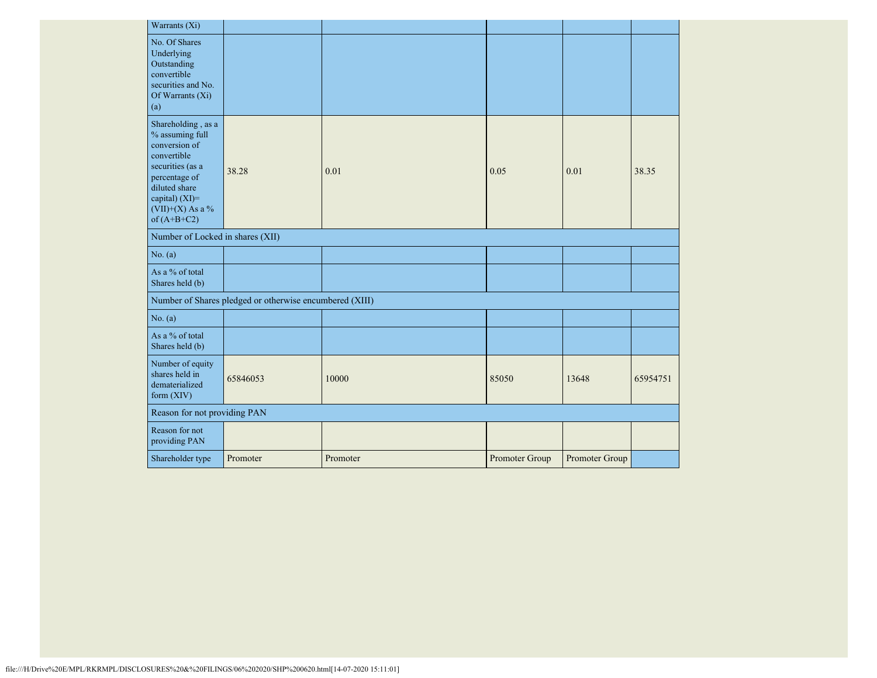| Warrants (Xi)                                                                                                                                                                      |                                                         |          |                |                |          |
|------------------------------------------------------------------------------------------------------------------------------------------------------------------------------------|---------------------------------------------------------|----------|----------------|----------------|----------|
| No. Of Shares<br>Underlying<br>Outstanding<br>convertible<br>securities and No.<br>Of Warrants $(X_i)$<br>(a)                                                                      |                                                         |          |                |                |          |
| Shareholding, as a<br>% assuming full<br>conversion of<br>convertible<br>securities (as a<br>percentage of<br>diluted share<br>capital) (XI)=<br>(VII)+(X) As a %<br>of $(A+B+C2)$ | 38.28                                                   | 0.01     | 0.05           | 0.01           | 38.35    |
| Number of Locked in shares (XII)                                                                                                                                                   |                                                         |          |                |                |          |
| No. (a)                                                                                                                                                                            |                                                         |          |                |                |          |
| As a % of total<br>Shares held (b)                                                                                                                                                 |                                                         |          |                |                |          |
|                                                                                                                                                                                    | Number of Shares pledged or otherwise encumbered (XIII) |          |                |                |          |
| No. (a)                                                                                                                                                                            |                                                         |          |                |                |          |
| As a % of total<br>Shares held (b)                                                                                                                                                 |                                                         |          |                |                |          |
| Number of equity<br>shares held in<br>dematerialized<br>form $(XIV)$                                                                                                               | 65846053                                                | 10000    | 85050          | 13648          | 65954751 |
| Reason for not providing PAN                                                                                                                                                       |                                                         |          |                |                |          |
| Reason for not<br>providing PAN                                                                                                                                                    |                                                         |          |                |                |          |
| Shareholder type                                                                                                                                                                   | Promoter                                                | Promoter | Promoter Group | Promoter Group |          |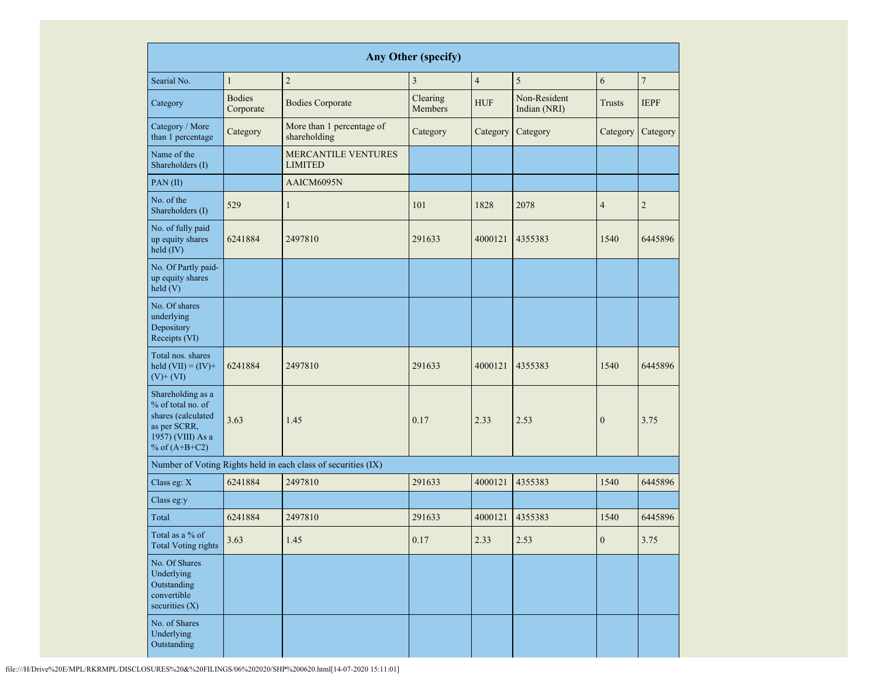| <b>Any Other (specify)</b>                                                                                           |                            |                                              |                     |                |                              |                |                |
|----------------------------------------------------------------------------------------------------------------------|----------------------------|----------------------------------------------|---------------------|----------------|------------------------------|----------------|----------------|
| Searial No.                                                                                                          | $\mathbf{1}$               | $\mathbf{2}$                                 | 3                   | $\overline{4}$ | 5                            | 6              | $\overline{7}$ |
| Category                                                                                                             | <b>Bodies</b><br>Corporate | <b>Bodies Corporate</b>                      | Clearing<br>Members | <b>HUF</b>     | Non-Resident<br>Indian (NRI) | <b>Trusts</b>  | <b>IEPF</b>    |
| Category / More<br>than 1 percentage                                                                                 | Category                   | More than 1 percentage of<br>shareholding    | Category            | Category       | Category                     | Category       | Category       |
| Name of the<br>Shareholders (I)                                                                                      |                            | <b>MERCANTILE VENTURES</b><br><b>LIMITED</b> |                     |                |                              |                |                |
| PAN(II)                                                                                                              |                            | AAICM6095N                                   |                     |                |                              |                |                |
| No. of the<br>Shareholders (I)                                                                                       | 529                        | $\mathbf{1}$                                 | 101                 | 1828           | 2078                         | $\overline{4}$ | $\overline{2}$ |
| No. of fully paid<br>up equity shares<br>held (IV)                                                                   | 6241884                    | 2497810                                      | 291633              | 4000121        | 4355383                      | 1540           | 6445896        |
| No. Of Partly paid-<br>up equity shares<br>held(V)                                                                   |                            |                                              |                     |                |                              |                |                |
| No. Of shares<br>underlying<br>Depository<br>Receipts (VI)                                                           |                            |                                              |                     |                |                              |                |                |
| Total nos. shares<br>held $(VII) = (IV) +$<br>$(V)$ + $(VI)$                                                         | 6241884                    | 2497810                                      | 291633              | 4000121        | 4355383                      | 1540           | 6445896        |
| Shareholding as a<br>% of total no. of<br>shares (calculated<br>as per SCRR,<br>1957) (VIII) As a<br>% of $(A+B+C2)$ | 3.63                       | 1.45                                         | 0.17                | 2.33           | 2.53                         | $\overline{0}$ | 3.75           |
| Number of Voting Rights held in each class of securities (IX)                                                        |                            |                                              |                     |                |                              |                |                |
| Class eg: X                                                                                                          | 6241884                    | 2497810                                      | 291633              | 4000121        | 4355383                      | 1540           | 6445896        |
| Class eg:y                                                                                                           |                            |                                              |                     |                |                              |                |                |
| Total                                                                                                                | 6241884                    | 2497810                                      | 291633              | 4000121        | 4355383                      | 1540           | 6445896        |
| Total as a % of<br><b>Total Voting rights</b>                                                                        | 3.63                       | 1.45                                         | 0.17                | 2.33           | 2.53                         | $\overline{0}$ | 3.75           |
| No. Of Shares<br>Underlying<br>Outstanding<br>convertible<br>securities $(X)$                                        |                            |                                              |                     |                |                              |                |                |
| No. of Shares<br>Underlying<br>Outstanding                                                                           |                            |                                              |                     |                |                              |                |                |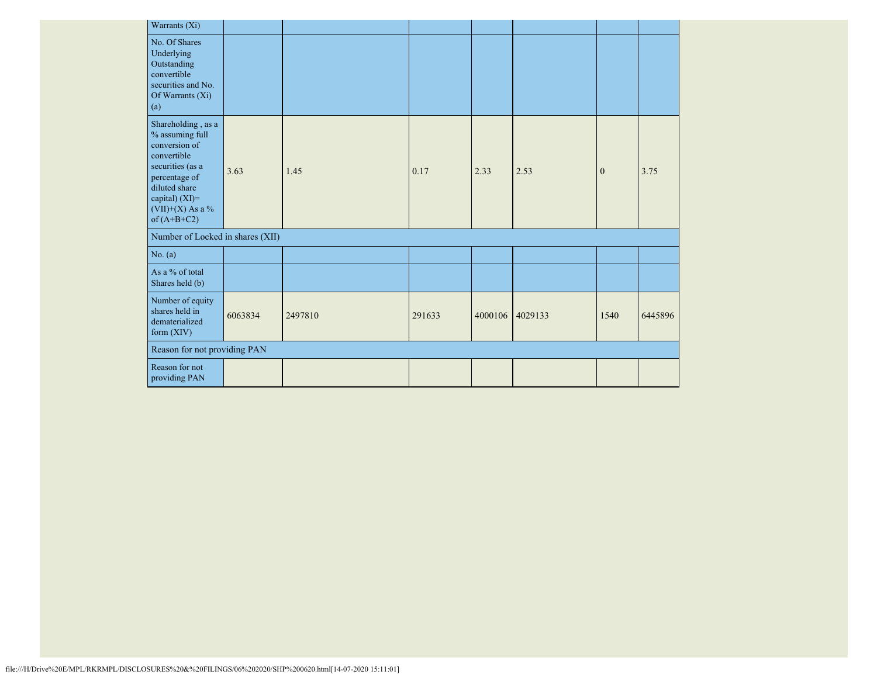| Warrants (Xi)                                                                                                                                                                      |         |         |        |         |         |              |         |
|------------------------------------------------------------------------------------------------------------------------------------------------------------------------------------|---------|---------|--------|---------|---------|--------------|---------|
| No. Of Shares<br>Underlying<br>Outstanding<br>convertible<br>securities and No.<br>Of Warrants (Xi)<br>(a)                                                                         |         |         |        |         |         |              |         |
| Shareholding, as a<br>% assuming full<br>conversion of<br>convertible<br>securities (as a<br>percentage of<br>diluted share<br>capital) (XI)=<br>(VII)+(X) As a %<br>of $(A+B+C2)$ | 3.63    | 1.45    | 0.17   | 2.33    | 2.53    | $\mathbf{0}$ | 3.75    |
| Number of Locked in shares (XII)                                                                                                                                                   |         |         |        |         |         |              |         |
| No. (a)                                                                                                                                                                            |         |         |        |         |         |              |         |
| As a % of total<br>Shares held (b)                                                                                                                                                 |         |         |        |         |         |              |         |
| Number of equity<br>shares held in<br>dematerialized<br>form (XIV)                                                                                                                 | 6063834 | 2497810 | 291633 | 4000106 | 4029133 | 1540         | 6445896 |
| Reason for not providing PAN                                                                                                                                                       |         |         |        |         |         |              |         |
| Reason for not<br>providing PAN                                                                                                                                                    |         |         |        |         |         |              |         |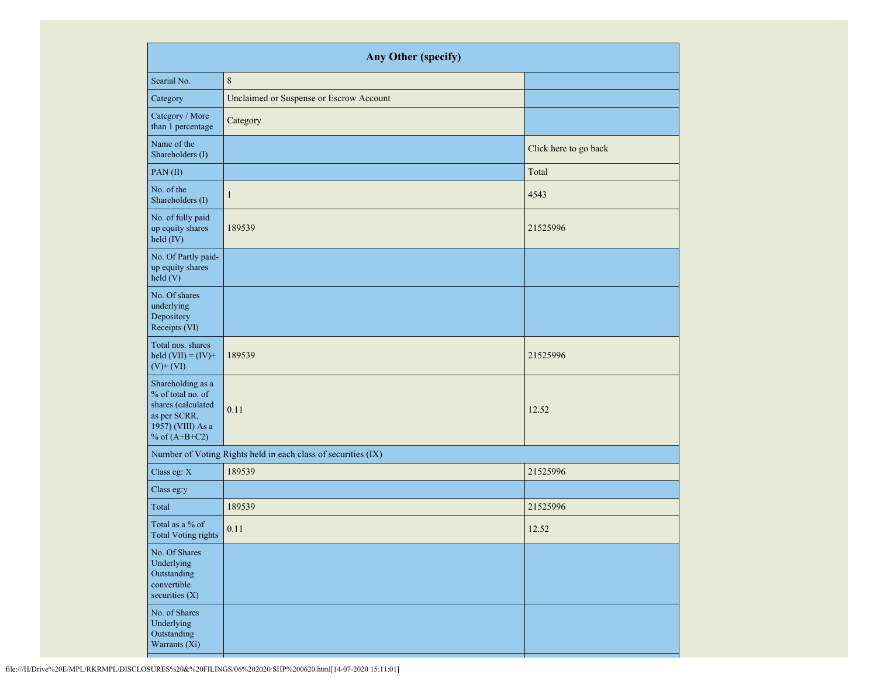| Any Other (specify)                                                                                                  |                                                               |                       |  |  |  |  |
|----------------------------------------------------------------------------------------------------------------------|---------------------------------------------------------------|-----------------------|--|--|--|--|
| Searial No.                                                                                                          | $\,8\,$                                                       |                       |  |  |  |  |
| Category                                                                                                             | Unclaimed or Suspense or Escrow Account                       |                       |  |  |  |  |
| Category / More<br>than 1 percentage                                                                                 | Category                                                      |                       |  |  |  |  |
| Name of the<br>Shareholders (I)                                                                                      |                                                               | Click here to go back |  |  |  |  |
| PAN(II)                                                                                                              |                                                               | Total                 |  |  |  |  |
| No. of the<br>Shareholders (I)                                                                                       | $\mathbf{1}$                                                  | 4543                  |  |  |  |  |
| No. of fully paid<br>up equity shares<br>held (IV)                                                                   | 189539                                                        | 21525996              |  |  |  |  |
| No. Of Partly paid-<br>up equity shares<br>held (V)                                                                  |                                                               |                       |  |  |  |  |
| No. Of shares<br>underlying<br>Depository<br>Receipts (VI)                                                           |                                                               |                       |  |  |  |  |
| Total nos. shares<br>held $(VII) = (IV) +$<br>$(V)$ + $(VI)$                                                         | 189539                                                        | 21525996              |  |  |  |  |
| Shareholding as a<br>% of total no. of<br>shares (calculated<br>as per SCRR,<br>1957) (VIII) As a<br>% of $(A+B+C2)$ | 0.11                                                          | 12.52                 |  |  |  |  |
|                                                                                                                      | Number of Voting Rights held in each class of securities (IX) |                       |  |  |  |  |
| Class eg: $X$                                                                                                        | 189539                                                        | 21525996              |  |  |  |  |
| Class eg:y                                                                                                           |                                                               |                       |  |  |  |  |
| Total                                                                                                                | 189539                                                        | 21525996              |  |  |  |  |
| Total as a % of<br>Total Voting rights                                                                               | 0.11                                                          | 12.52                 |  |  |  |  |
| No. Of Shares<br>Underlying<br>Outstanding<br>convertible<br>securities $(X)$                                        |                                                               |                       |  |  |  |  |
| No. of Shares<br>Underlying<br>Outstanding<br>Warrants (Xi)                                                          |                                                               |                       |  |  |  |  |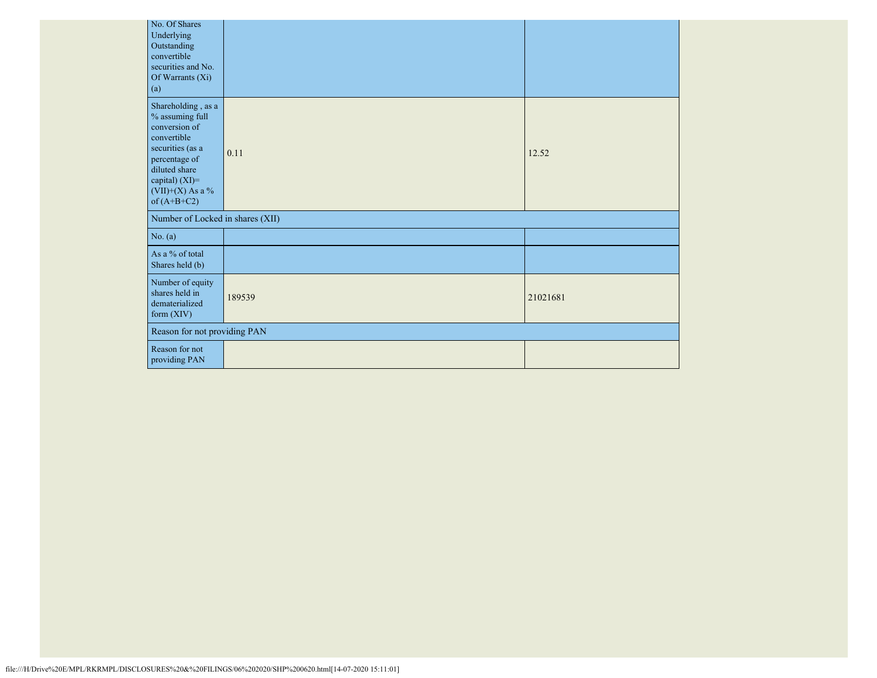| No. Of Shares<br>Underlying<br>Outstanding<br>convertible<br>securities and No.<br>Of Warrants (Xi)<br>(a)                                                                           |        |          |  |
|--------------------------------------------------------------------------------------------------------------------------------------------------------------------------------------|--------|----------|--|
| Shareholding, as a<br>% assuming full<br>conversion of<br>convertible<br>securities (as a<br>percentage of<br>diluted share<br>capital) (XI)=<br>$(VII)+(X)$ As a %<br>of $(A+B+C2)$ | 0.11   | 12.52    |  |
| Number of Locked in shares (XII)                                                                                                                                                     |        |          |  |
| No. (a)                                                                                                                                                                              |        |          |  |
| As a % of total<br>Shares held (b)                                                                                                                                                   |        |          |  |
| Number of equity<br>shares held in<br>dematerialized<br>form $(XIV)$                                                                                                                 | 189539 | 21021681 |  |
| Reason for not providing PAN                                                                                                                                                         |        |          |  |
| Reason for not<br>providing PAN                                                                                                                                                      |        |          |  |